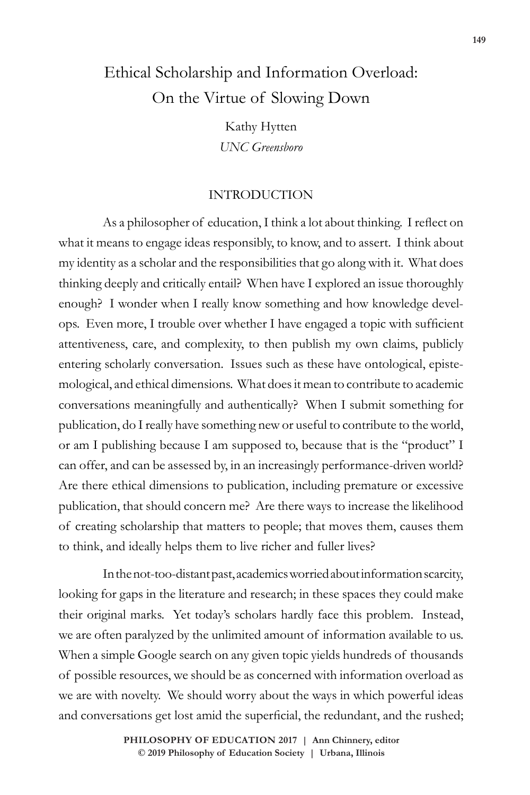# Ethical Scholarship and Information Overload: On the Virtue of Slowing Down

Kathy Hytten *UNC Greensboro*

# INTRODUCTION

As a philosopher of education, I think a lot about thinking. I reflect on what it means to engage ideas responsibly, to know, and to assert. I think about my identity as a scholar and the responsibilities that go along with it. What does thinking deeply and critically entail? When have I explored an issue thoroughly enough? I wonder when I really know something and how knowledge develops. Even more, I trouble over whether I have engaged a topic with sufficient attentiveness, care, and complexity, to then publish my own claims, publicly entering scholarly conversation. Issues such as these have ontological, epistemological, and ethical dimensions. What does it mean to contribute to academic conversations meaningfully and authentically? When I submit something for publication, do I really have something new or useful to contribute to the world, or am I publishing because I am supposed to, because that is the "product" I can offer, and can be assessed by, in an increasingly performance-driven world? Are there ethical dimensions to publication, including premature or excessive publication, that should concern me? Are there ways to increase the likelihood of creating scholarship that matters to people; that moves them, causes them to think, and ideally helps them to live richer and fuller lives?

In the not-too-distant past, academics worried about information scarcity, looking for gaps in the literature and research; in these spaces they could make their original marks. Yet today's scholars hardly face this problem. Instead, we are often paralyzed by the unlimited amount of information available to us. When a simple Google search on any given topic yields hundreds of thousands of possible resources, we should be as concerned with information overload as we are with novelty. We should worry about the ways in which powerful ideas and conversations get lost amid the superficial, the redundant, and the rushed;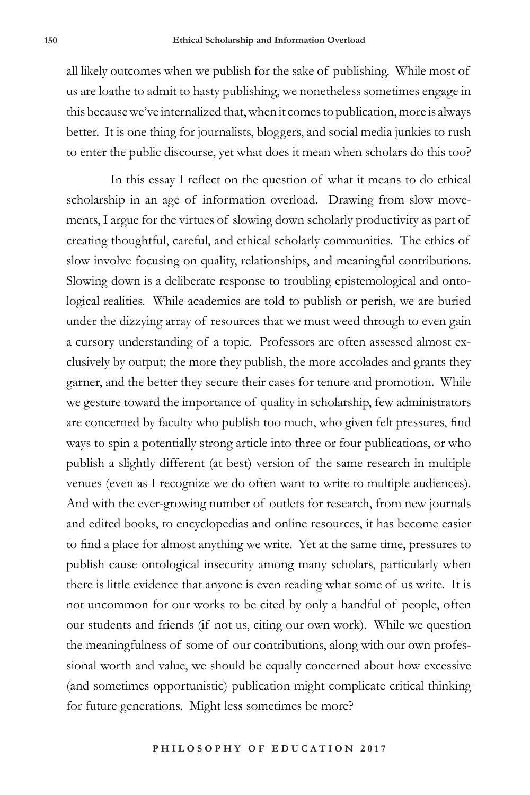all likely outcomes when we publish for the sake of publishing. While most of us are loathe to admit to hasty publishing, we nonetheless sometimes engage in this because we've internalized that, when it comes to publication, more is always better. It is one thing for journalists, bloggers, and social media junkies to rush to enter the public discourse, yet what does it mean when scholars do this too?

In this essay I reflect on the question of what it means to do ethical scholarship in an age of information overload. Drawing from slow movements, I argue for the virtues of slowing down scholarly productivity as part of creating thoughtful, careful, and ethical scholarly communities. The ethics of slow involve focusing on quality, relationships, and meaningful contributions. Slowing down is a deliberate response to troubling epistemological and ontological realities. While academics are told to publish or perish, we are buried under the dizzying array of resources that we must weed through to even gain a cursory understanding of a topic. Professors are often assessed almost exclusively by output; the more they publish, the more accolades and grants they garner, and the better they secure their cases for tenure and promotion. While we gesture toward the importance of quality in scholarship, few administrators are concerned by faculty who publish too much, who given felt pressures, find ways to spin a potentially strong article into three or four publications, or who publish a slightly different (at best) version of the same research in multiple venues (even as I recognize we do often want to write to multiple audiences). And with the ever-growing number of outlets for research, from new journals and edited books, to encyclopedias and online resources, it has become easier to find a place for almost anything we write. Yet at the same time, pressures to publish cause ontological insecurity among many scholars, particularly when there is little evidence that anyone is even reading what some of us write. It is not uncommon for our works to be cited by only a handful of people, often our students and friends (if not us, citing our own work). While we question the meaningfulness of some of our contributions, along with our own professional worth and value, we should be equally concerned about how excessive (and sometimes opportunistic) publication might complicate critical thinking for future generations. Might less sometimes be more?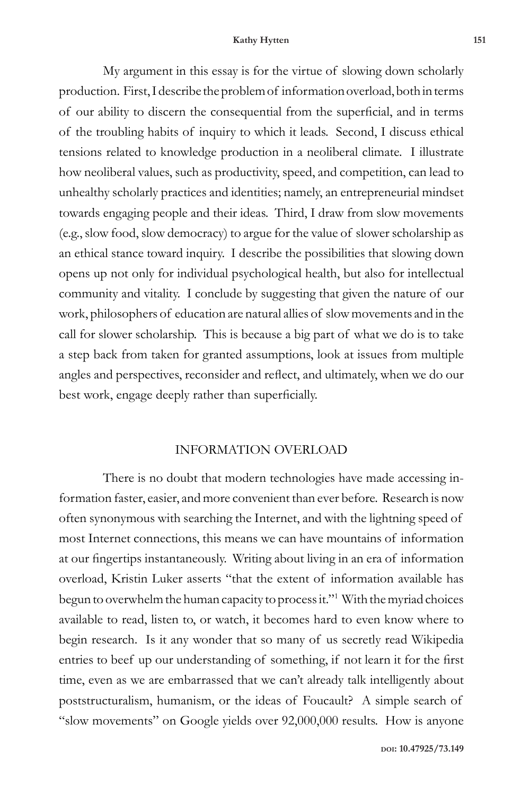#### **Kathy Hytten 151**

My argument in this essay is for the virtue of slowing down scholarly production. First, I describe the problem of information overload, both in terms of our ability to discern the consequential from the superficial, and in terms of the troubling habits of inquiry to which it leads. Second, I discuss ethical tensions related to knowledge production in a neoliberal climate. I illustrate how neoliberal values, such as productivity, speed, and competition, can lead to unhealthy scholarly practices and identities; namely, an entrepreneurial mindset towards engaging people and their ideas. Third, I draw from slow movements (e.g., slow food, slow democracy) to argue for the value of slower scholarship as an ethical stance toward inquiry. I describe the possibilities that slowing down opens up not only for individual psychological health, but also for intellectual community and vitality. I conclude by suggesting that given the nature of our work, philosophers of education are natural allies of slow movements and in the call for slower scholarship. This is because a big part of what we do is to take a step back from taken for granted assumptions, look at issues from multiple angles and perspectives, reconsider and reflect, and ultimately, when we do our best work, engage deeply rather than superficially.

## INFORMATION OVERLOAD

There is no doubt that modern technologies have made accessing information faster, easier, and more convenient than ever before. Research is now often synonymous with searching the Internet, and with the lightning speed of most Internet connections, this means we can have mountains of information at our fingertips instantaneously. Writing about living in an era of information overload, Kristin Luker asserts "that the extent of information available has begun to overwhelm the human capacity to process it."1 With the myriad choices available to read, listen to, or watch, it becomes hard to even know where to begin research. Is it any wonder that so many of us secretly read Wikipedia entries to beef up our understanding of something, if not learn it for the first time, even as we are embarrassed that we can't already talk intelligently about poststructuralism, humanism, or the ideas of Foucault? A simple search of "slow movements" on Google yields over 92,000,000 results. How is anyone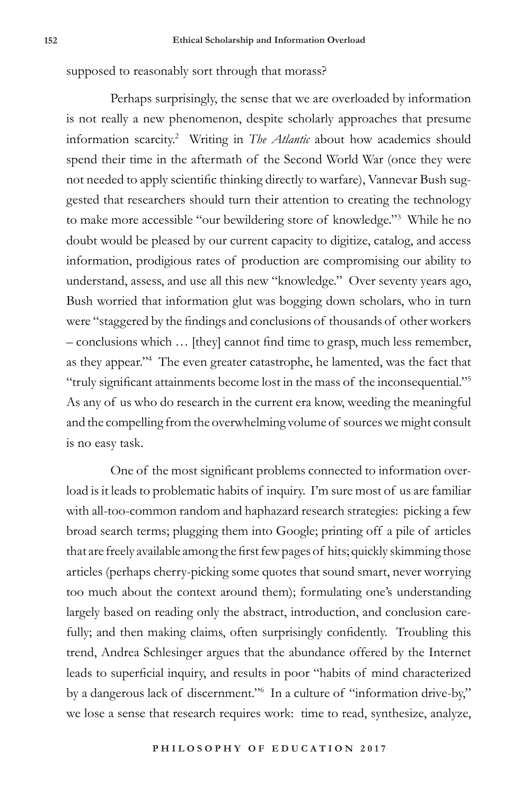supposed to reasonably sort through that morass?

Perhaps surprisingly, the sense that we are overloaded by information is not really a new phenomenon, despite scholarly approaches that presume information scarcity.2 Writing in *The Atlantic* about how academics should spend their time in the aftermath of the Second World War (once they were not needed to apply scientific thinking directly to warfare), Vannevar Bush suggested that researchers should turn their attention to creating the technology to make more accessible "our bewildering store of knowledge."3 While he no doubt would be pleased by our current capacity to digitize, catalog, and access information, prodigious rates of production are compromising our ability to understand, assess, and use all this new "knowledge." Over seventy years ago, Bush worried that information glut was bogging down scholars, who in turn were "staggered by the findings and conclusions of thousands of other workers – conclusions which … [they] cannot find time to grasp, much less remember, as they appear."4 The even greater catastrophe, he lamented, was the fact that "truly significant attainments become lost in the mass of the inconsequential."<sup>5</sup> As any of us who do research in the current era know, weeding the meaningful and the compelling from the overwhelming volume of sources we might consult is no easy task.

One of the most significant problems connected to information overload is it leads to problematic habits of inquiry. I'm sure most of us are familiar with all-too-common random and haphazard research strategies: picking a few broad search terms; plugging them into Google; printing off a pile of articles that are freely available among the first few pages of hits; quickly skimming those articles (perhaps cherry-picking some quotes that sound smart, never worrying too much about the context around them); formulating one's understanding largely based on reading only the abstract, introduction, and conclusion carefully; and then making claims, often surprisingly confidently. Troubling this trend, Andrea Schlesinger argues that the abundance offered by the Internet leads to superficial inquiry, and results in poor "habits of mind characterized by a dangerous lack of discernment."6 In a culture of "information drive-by," we lose a sense that research requires work: time to read, synthesize, analyze,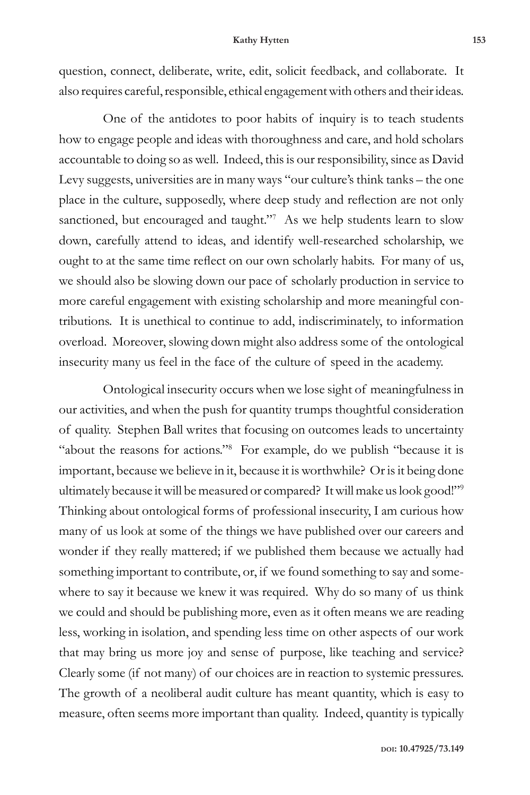#### **Kathy Hytten 153**

question, connect, deliberate, write, edit, solicit feedback, and collaborate. It also requires careful, responsible, ethical engagement with others and their ideas.

One of the antidotes to poor habits of inquiry is to teach students how to engage people and ideas with thoroughness and care, and hold scholars accountable to doing so as well. Indeed, this is our responsibility, since as David Levy suggests, universities are in many ways "our culture's think tanks – the one place in the culture, supposedly, where deep study and reflection are not only sanctioned, but encouraged and taught."<sup>7</sup> As we help students learn to slow down, carefully attend to ideas, and identify well-researched scholarship, we ought to at the same time reflect on our own scholarly habits. For many of us, we should also be slowing down our pace of scholarly production in service to more careful engagement with existing scholarship and more meaningful contributions. It is unethical to continue to add, indiscriminately, to information overload. Moreover, slowing down might also address some of the ontological insecurity many us feel in the face of the culture of speed in the academy.

Ontological insecurity occurs when we lose sight of meaningfulness in our activities, and when the push for quantity trumps thoughtful consideration of quality. Stephen Ball writes that focusing on outcomes leads to uncertainty "about the reasons for actions."<sup>8</sup> For example, do we publish "because it is important, because we believe in it, because it is worthwhile? Or is it being done ultimately because it will be measured or compared? It will make us look good!"<sup>9</sup> Thinking about ontological forms of professional insecurity, I am curious how many of us look at some of the things we have published over our careers and wonder if they really mattered; if we published them because we actually had something important to contribute, or, if we found something to say and somewhere to say it because we knew it was required. Why do so many of us think we could and should be publishing more, even as it often means we are reading less, working in isolation, and spending less time on other aspects of our work that may bring us more joy and sense of purpose, like teaching and service? Clearly some (if not many) of our choices are in reaction to systemic pressures. The growth of a neoliberal audit culture has meant quantity, which is easy to measure, often seems more important than quality. Indeed, quantity is typically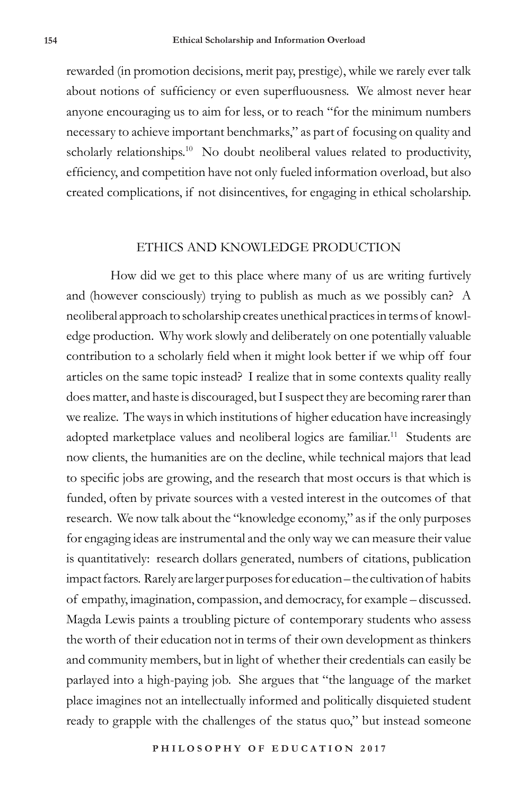rewarded (in promotion decisions, merit pay, prestige), while we rarely ever talk about notions of sufficiency or even superfluousness. We almost never hear anyone encouraging us to aim for less, or to reach "for the minimum numbers necessary to achieve important benchmarks," as part of focusing on quality and scholarly relationships.<sup>10</sup> No doubt neoliberal values related to productivity, efficiency, and competition have not only fueled information overload, but also created complications, if not disincentives, for engaging in ethical scholarship.

## ETHICS AND KNOWLEDGE PRODUCTION

How did we get to this place where many of us are writing furtively and (however consciously) trying to publish as much as we possibly can? A neoliberal approach to scholarship creates unethical practices in terms of knowledge production. Why work slowly and deliberately on one potentially valuable contribution to a scholarly field when it might look better if we whip off four articles on the same topic instead? I realize that in some contexts quality really does matter, and haste is discouraged, but I suspect they are becoming rarer than we realize. The ways in which institutions of higher education have increasingly adopted marketplace values and neoliberal logics are familiar.<sup>11</sup> Students are now clients, the humanities are on the decline, while technical majors that lead to specific jobs are growing, and the research that most occurs is that which is funded, often by private sources with a vested interest in the outcomes of that research. We now talk about the "knowledge economy," as if the only purposes for engaging ideas are instrumental and the only way we can measure their value is quantitatively: research dollars generated, numbers of citations, publication impact factors. Rarely are larger purposes for education – the cultivation of habits of empathy, imagination, compassion, and democracy, for example – discussed. Magda Lewis paints a troubling picture of contemporary students who assess the worth of their education not in terms of their own development as thinkers and community members, but in light of whether their credentials can easily be parlayed into a high-paying job. She argues that "the language of the market place imagines not an intellectually informed and politically disquieted student ready to grapple with the challenges of the status quo," but instead someone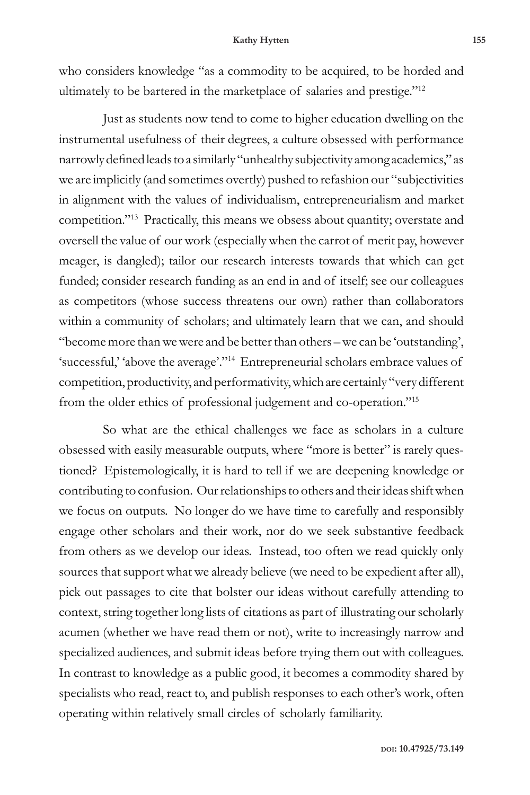#### **Kathy Hytten 155**

who considers knowledge "as a commodity to be acquired, to be horded and ultimately to be bartered in the marketplace of salaries and prestige."<sup>12</sup>

Just as students now tend to come to higher education dwelling on the instrumental usefulness of their degrees, a culture obsessed with performance narrowly defined leads to a similarly "unhealthy subjectivity among academics," as we are implicitly (and sometimes overtly) pushed to refashion our "subjectivities in alignment with the values of individualism, entrepreneurialism and market competition."13 Practically, this means we obsess about quantity; overstate and oversell the value of our work (especially when the carrot of merit pay, however meager, is dangled); tailor our research interests towards that which can get funded; consider research funding as an end in and of itself; see our colleagues as competitors (whose success threatens our own) rather than collaborators within a community of scholars; and ultimately learn that we can, and should "become more than we were and be better than others – we can be 'outstanding', 'successful,' 'above the average'."14 Entrepreneurial scholars embrace values of competition, productivity, and performativity, which are certainly "very different from the older ethics of professional judgement and co-operation."15

So what are the ethical challenges we face as scholars in a culture obsessed with easily measurable outputs, where "more is better" is rarely questioned? Epistemologically, it is hard to tell if we are deepening knowledge or contributing to confusion. Our relationships to others and their ideas shift when we focus on outputs. No longer do we have time to carefully and responsibly engage other scholars and their work, nor do we seek substantive feedback from others as we develop our ideas. Instead, too often we read quickly only sources that support what we already believe (we need to be expedient after all), pick out passages to cite that bolster our ideas without carefully attending to context, string together long lists of citations as part of illustrating our scholarly acumen (whether we have read them or not), write to increasingly narrow and specialized audiences, and submit ideas before trying them out with colleagues. In contrast to knowledge as a public good, it becomes a commodity shared by specialists who read, react to, and publish responses to each other's work, often operating within relatively small circles of scholarly familiarity.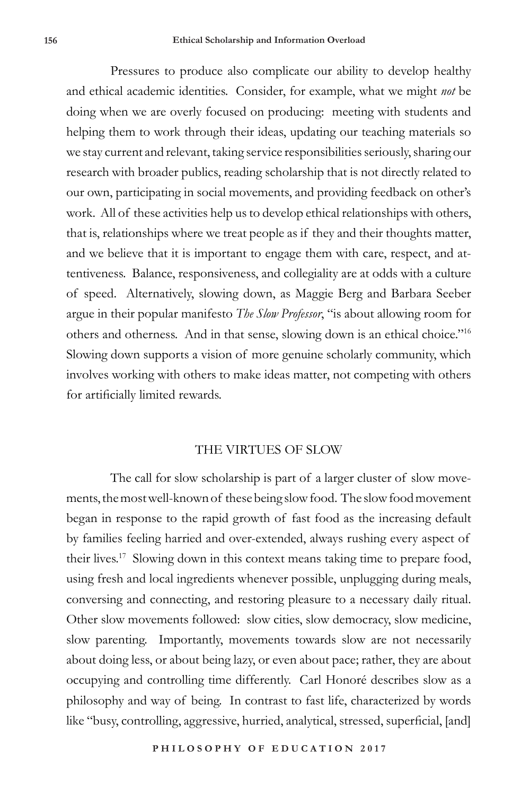Pressures to produce also complicate our ability to develop healthy and ethical academic identities. Consider, for example, what we might *not* be doing when we are overly focused on producing: meeting with students and helping them to work through their ideas, updating our teaching materials so we stay current and relevant, taking service responsibilities seriously, sharing our research with broader publics, reading scholarship that is not directly related to our own, participating in social movements, and providing feedback on other's work. All of these activities help us to develop ethical relationships with others, that is, relationships where we treat people as if they and their thoughts matter, and we believe that it is important to engage them with care, respect, and attentiveness. Balance, responsiveness, and collegiality are at odds with a culture of speed. Alternatively, slowing down, as Maggie Berg and Barbara Seeber argue in their popular manifesto *The Slow Professor*, "is about allowing room for others and otherness. And in that sense, slowing down is an ethical choice."16 Slowing down supports a vision of more genuine scholarly community, which involves working with others to make ideas matter, not competing with others for artificially limited rewards.

## THE VIRTUES OF SLOW

The call for slow scholarship is part of a larger cluster of slow movements, the most well-known of these being slow food. The slow food movement began in response to the rapid growth of fast food as the increasing default by families feeling harried and over-extended, always rushing every aspect of their lives.17 Slowing down in this context means taking time to prepare food, using fresh and local ingredients whenever possible, unplugging during meals, conversing and connecting, and restoring pleasure to a necessary daily ritual. Other slow movements followed: slow cities, slow democracy, slow medicine, slow parenting. Importantly, movements towards slow are not necessarily about doing less, or about being lazy, or even about pace; rather, they are about occupying and controlling time differently. Carl Honoré describes slow as a philosophy and way of being. In contrast to fast life, characterized by words like "busy, controlling, aggressive, hurried, analytical, stressed, superficial, [and]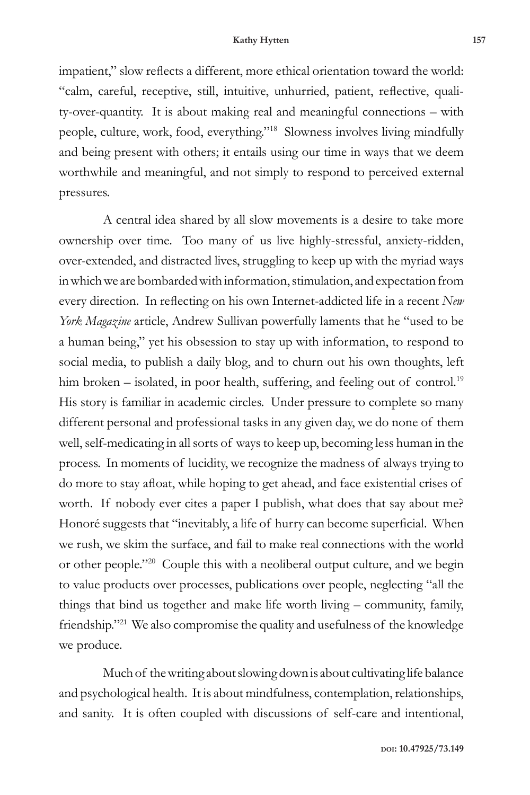impatient," slow reflects a different, more ethical orientation toward the world: "calm, careful, receptive, still, intuitive, unhurried, patient, reflective, quality-over-quantity. It is about making real and meaningful connections – with people, culture, work, food, everything."18 Slowness involves living mindfully and being present with others; it entails using our time in ways that we deem worthwhile and meaningful, and not simply to respond to perceived external pressures.

A central idea shared by all slow movements is a desire to take more ownership over time. Too many of us live highly-stressful, anxiety-ridden, over-extended, and distracted lives, struggling to keep up with the myriad ways in which we are bombarded with information, stimulation, and expectation from every direction. In reflecting on his own Internet-addicted life in a recent *New York Magazine* article, Andrew Sullivan powerfully laments that he "used to be a human being," yet his obsession to stay up with information, to respond to social media, to publish a daily blog, and to churn out his own thoughts, left him broken – isolated, in poor health, suffering, and feeling out of control.<sup>19</sup> His story is familiar in academic circles. Under pressure to complete so many different personal and professional tasks in any given day, we do none of them well, self-medicating in all sorts of ways to keep up, becoming less human in the process. In moments of lucidity, we recognize the madness of always trying to do more to stay afloat, while hoping to get ahead, and face existential crises of worth. If nobody ever cites a paper I publish, what does that say about me? Honoré suggests that "inevitably, a life of hurry can become superficial. When we rush, we skim the surface, and fail to make real connections with the world or other people."20 Couple this with a neoliberal output culture, and we begin to value products over processes, publications over people, neglecting "all the things that bind us together and make life worth living – community, family, friendship."21 We also compromise the quality and usefulness of the knowledge we produce.

Much of the writing about slowing down is about cultivating life balance and psychological health. It is about mindfulness, contemplation, relationships, and sanity. It is often coupled with discussions of self-care and intentional,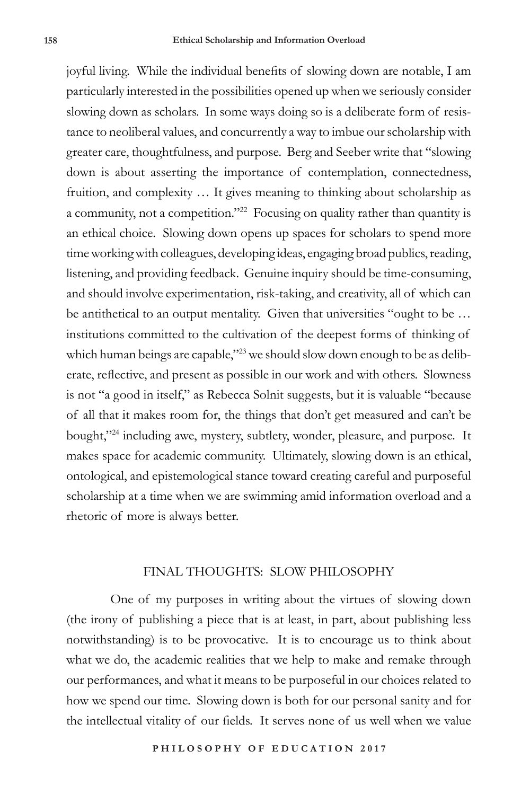joyful living. While the individual benefits of slowing down are notable, I am particularly interested in the possibilities opened up when we seriously consider slowing down as scholars. In some ways doing so is a deliberate form of resistance to neoliberal values, and concurrently a way to imbue our scholarship with greater care, thoughtfulness, and purpose. Berg and Seeber write that "slowing down is about asserting the importance of contemplation, connectedness, fruition, and complexity … It gives meaning to thinking about scholarship as a community, not a competition."22 Focusing on quality rather than quantity is an ethical choice. Slowing down opens up spaces for scholars to spend more time working with colleagues, developing ideas, engaging broad publics, reading, listening, and providing feedback. Genuine inquiry should be time-consuming, and should involve experimentation, risk-taking, and creativity, all of which can be antithetical to an output mentality. Given that universities "ought to be … institutions committed to the cultivation of the deepest forms of thinking of which human beings are capable,"<sup>23</sup> we should slow down enough to be as deliberate, reflective, and present as possible in our work and with others. Slowness is not "a good in itself," as Rebecca Solnit suggests, but it is valuable "because of all that it makes room for, the things that don't get measured and can't be bought,"<sup>24</sup> including awe, mystery, subtlety, wonder, pleasure, and purpose. It makes space for academic community. Ultimately, slowing down is an ethical, ontological, and epistemological stance toward creating careful and purposeful scholarship at a time when we are swimming amid information overload and a rhetoric of more is always better.

### FINAL THOUGHTS: SLOW PHILOSOPHY

One of my purposes in writing about the virtues of slowing down (the irony of publishing a piece that is at least, in part, about publishing less notwithstanding) is to be provocative. It is to encourage us to think about what we do, the academic realities that we help to make and remake through our performances, and what it means to be purposeful in our choices related to how we spend our time. Slowing down is both for our personal sanity and for the intellectual vitality of our fields. It serves none of us well when we value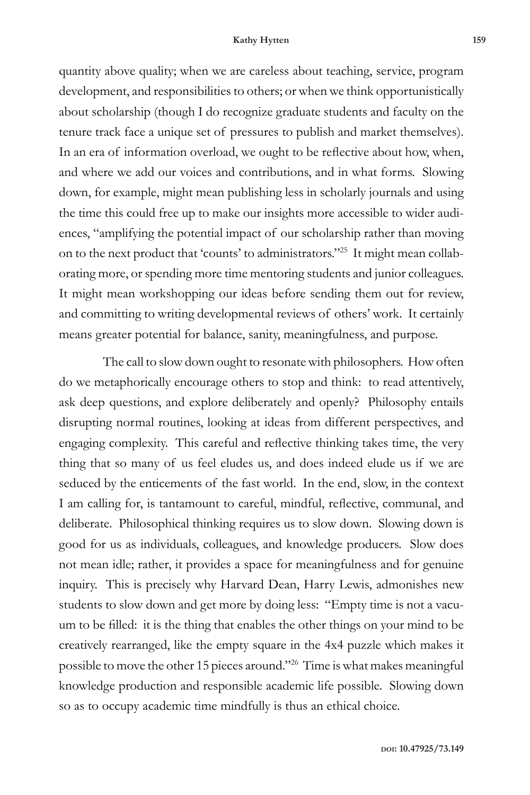quantity above quality; when we are careless about teaching, service, program development, and responsibilities to others; or when we think opportunistically about scholarship (though I do recognize graduate students and faculty on the tenure track face a unique set of pressures to publish and market themselves). In an era of information overload, we ought to be reflective about how, when, and where we add our voices and contributions, and in what forms. Slowing down, for example, might mean publishing less in scholarly journals and using the time this could free up to make our insights more accessible to wider audiences, "amplifying the potential impact of our scholarship rather than moving on to the next product that 'counts' to administrators."25 It might mean collaborating more, or spending more time mentoring students and junior colleagues. It might mean workshopping our ideas before sending them out for review, and committing to writing developmental reviews of others' work. It certainly means greater potential for balance, sanity, meaningfulness, and purpose.

The call to slow down ought to resonate with philosophers. How often do we metaphorically encourage others to stop and think: to read attentively, ask deep questions, and explore deliberately and openly? Philosophy entails disrupting normal routines, looking at ideas from different perspectives, and engaging complexity. This careful and reflective thinking takes time, the very thing that so many of us feel eludes us, and does indeed elude us if we are seduced by the enticements of the fast world. In the end, slow, in the context I am calling for, is tantamount to careful, mindful, reflective, communal, and deliberate. Philosophical thinking requires us to slow down. Slowing down is good for us as individuals, colleagues, and knowledge producers. Slow does not mean idle; rather, it provides a space for meaningfulness and for genuine inquiry. This is precisely why Harvard Dean, Harry Lewis, admonishes new students to slow down and get more by doing less: "Empty time is not a vacuum to be filled: it is the thing that enables the other things on your mind to be creatively rearranged, like the empty square in the 4x4 puzzle which makes it possible to move the other 15 pieces around."26 Time is what makes meaningful knowledge production and responsible academic life possible. Slowing down so as to occupy academic time mindfully is thus an ethical choice.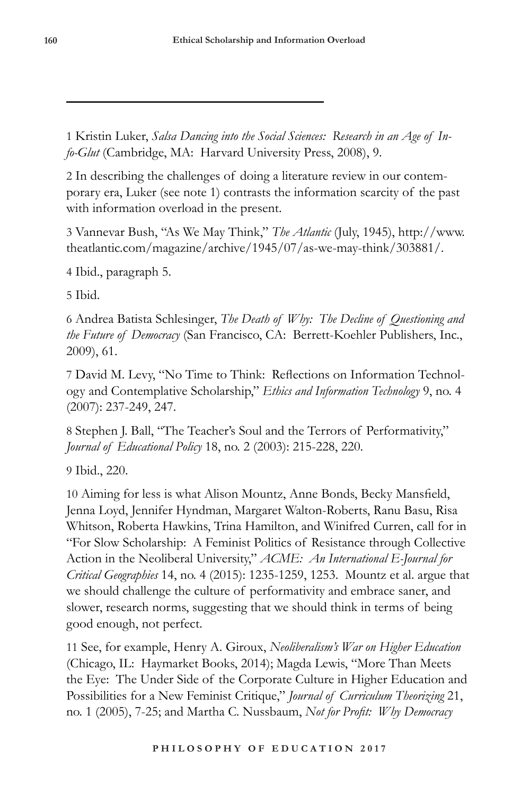1 Kristin Luker, *Salsa Dancing into the Social Sciences: Research in an Age of Info-Glut* (Cambridge, MA: Harvard University Press, 2008), 9.

2 In describing the challenges of doing a literature review in our contemporary era, Luker (see note 1) contrasts the information scarcity of the past with information overload in the present.

3 Vannevar Bush, "As We May Think," *The Atlantic* (July, 1945), http://www. theatlantic.com/magazine/archive/1945/07/as-we-may-think/303881/.

4 Ibid., paragraph 5.

5 Ibid.

6 Andrea Batista Schlesinger, *The Death of Why: The Decline of Questioning and the Future of Democracy* (San Francisco, CA: Berrett-Koehler Publishers, Inc., 2009), 61.

7 David M. Levy, "No Time to Think: Reflections on Information Technology and Contemplative Scholarship," *Ethics and Information Technology* 9, no. 4 (2007): 237-249, 247.

8 Stephen J. Ball, "The Teacher's Soul and the Terrors of Performativity," *Journal of Educational Policy* 18, no. 2 (2003): 215-228, 220.

9 Ibid., 220.

10 Aiming for less is what Alison Mountz, Anne Bonds, Becky Mansfield, Jenna Loyd, Jennifer Hyndman, Margaret Walton-Roberts, Ranu Basu, Risa Whitson, Roberta Hawkins, Trina Hamilton, and Winifred Curren, call for in "For Slow Scholarship: A Feminist Politics of Resistance through Collective Action in the Neoliberal University," *ACME: An International E-Journal for Critical Geographies* 14, no. 4 (2015): 1235-1259, 1253. Mountz et al. argue that we should challenge the culture of performativity and embrace saner, and slower, research norms, suggesting that we should think in terms of being good enough, not perfect.

11 See, for example, Henry A. Giroux, *Neoliberalism's War on Higher Education*  (Chicago, IL: Haymarket Books, 2014); Magda Lewis, "More Than Meets the Eye: The Under Side of the Corporate Culture in Higher Education and Possibilities for a New Feminist Critique," *Journal of Curriculum Theorizing* 21, no. 1 (2005), 7-25; and Martha C. Nussbaum, *Not for Profit: Why Democracy*